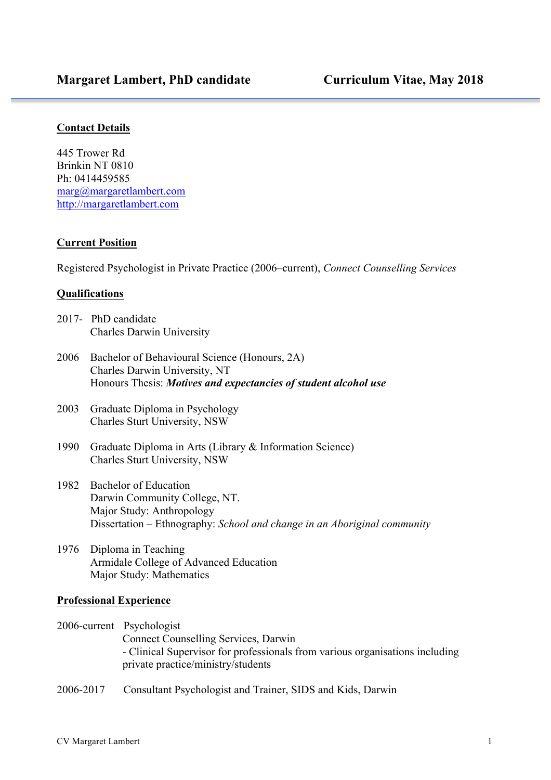l

#### **Contact Details**

445 Trower Rd Brinkin NT 0810 Ph: 0414459585 marg@margaretlambert.com http://margaretlambert.com

### **Current Position**

Registered Psychologist in Private Practice (2006–current), *Connect Counselling Services*

#### **Qualifications**

- 2017- PhD candidate Charles Darwin University
- 2006 Bachelor of Behavioural Science (Honours, 2A) Charles Darwin University, NT Honours Thesis: *Motives and expectancies of student alcohol use*
- 2003 Graduate Diploma in Psychology Charles Sturt University, NSW
- 1990 Graduate Diploma in Arts (Library & Information Science) Charles Sturt University, NSW
- 1982 Bachelor of Education Darwin Community College, NT. Major Study: Anthropology Dissertation – Ethnography: *School and change in an Aboriginal community*
- 1976 Diploma in Teaching Armidale College of Advanced Education Major Study: Mathematics

#### **Professional Experience**

- 2006-current Psychologist Connect Counselling Services, Darwin - Clinical Supervisor for professionals from various organisations including private practice/ministry/students
- 2006-2017 Consultant Psychologist and Trainer, SIDS and Kids, Darwin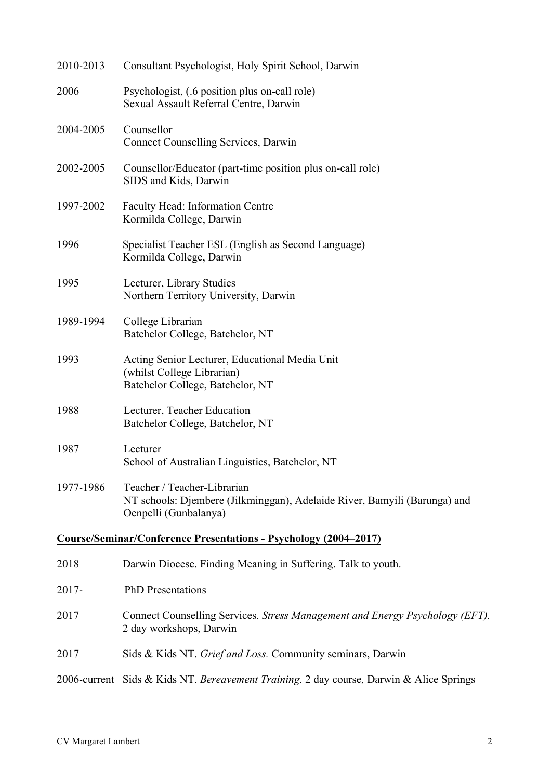| 2010-2013                                                               | Consultant Psychologist, Holy Spirit School, Darwin                                                                               |  |  |  |  |  |
|-------------------------------------------------------------------------|-----------------------------------------------------------------------------------------------------------------------------------|--|--|--|--|--|
| 2006                                                                    | Psychologist, (.6 position plus on-call role)<br>Sexual Assault Referral Centre, Darwin                                           |  |  |  |  |  |
| 2004-2005                                                               | Counsellor<br><b>Connect Counselling Services, Darwin</b>                                                                         |  |  |  |  |  |
| 2002-2005                                                               | Counsellor/Educator (part-time position plus on-call role)<br>SIDS and Kids, Darwin                                               |  |  |  |  |  |
| 1997-2002                                                               | Faculty Head: Information Centre<br>Kormilda College, Darwin                                                                      |  |  |  |  |  |
| 1996                                                                    | Specialist Teacher ESL (English as Second Language)<br>Kormilda College, Darwin                                                   |  |  |  |  |  |
| 1995                                                                    | Lecturer, Library Studies<br>Northern Territory University, Darwin                                                                |  |  |  |  |  |
| 1989-1994                                                               | College Librarian<br>Batchelor College, Batchelor, NT                                                                             |  |  |  |  |  |
| 1993                                                                    | Acting Senior Lecturer, Educational Media Unit<br>(whilst College Librarian)<br>Batchelor College, Batchelor, NT                  |  |  |  |  |  |
| 1988                                                                    | Lecturer, Teacher Education<br>Batchelor College, Batchelor, NT                                                                   |  |  |  |  |  |
| 1987                                                                    | Lecturer<br>School of Australian Linguistics, Batchelor, NT                                                                       |  |  |  |  |  |
| 1977-1986                                                               | Teacher / Teacher-Librarian<br>NT schools: Djembere (Jilkminggan), Adelaide River, Bamyili (Barunga) and<br>Oenpelli (Gunbalanya) |  |  |  |  |  |
| <b>Course/Seminar/Conference Presentations - Psychology (2004–2017)</b> |                                                                                                                                   |  |  |  |  |  |
| 2018                                                                    | Darwin Diocese. Finding Meaning in Suffering. Talk to youth.                                                                      |  |  |  |  |  |
| $2017 -$                                                                | <b>PhD</b> Presentations                                                                                                          |  |  |  |  |  |
| 2017                                                                    | Connect Counselling Services. Stress Management and Energy Psychology (EFT).<br>2 day workshops, Darwin                           |  |  |  |  |  |
| 2017                                                                    | Sids & Kids NT. Grief and Loss. Community seminars, Darwin                                                                        |  |  |  |  |  |
|                                                                         | 2006-current Sids & Kids NT. Bereavement Training. 2 day course, Darwin & Alice Springs                                           |  |  |  |  |  |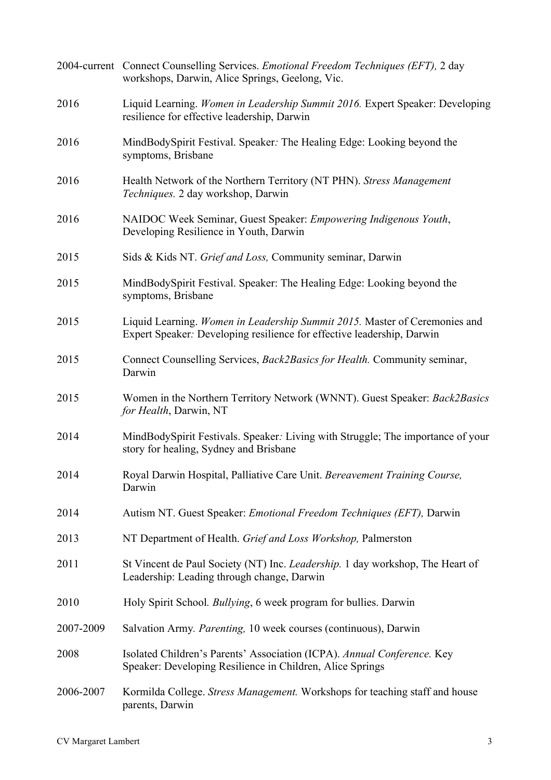|           | 2004-current Connect Counselling Services. <i>Emotional Freedom Techniques (EFT)</i> , 2 day<br>workshops, Darwin, Alice Springs, Geelong, Vic.      |  |  |  |  |
|-----------|------------------------------------------------------------------------------------------------------------------------------------------------------|--|--|--|--|
| 2016      | Liquid Learning. Women in Leadership Summit 2016. Expert Speaker: Developing<br>resilience for effective leadership, Darwin                          |  |  |  |  |
| 2016      | MindBodySpirit Festival. Speaker: The Healing Edge: Looking beyond the<br>symptoms, Brisbane                                                         |  |  |  |  |
| 2016      | Health Network of the Northern Territory (NT PHN). Stress Management<br><i>Techniques.</i> 2 day workshop, Darwin                                    |  |  |  |  |
| 2016      | NAIDOC Week Seminar, Guest Speaker: Empowering Indigenous Youth,<br>Developing Resilience in Youth, Darwin                                           |  |  |  |  |
| 2015      | Sids & Kids NT. Grief and Loss, Community seminar, Darwin                                                                                            |  |  |  |  |
| 2015      | MindBodySpirit Festival. Speaker: The Healing Edge: Looking beyond the<br>symptoms, Brisbane                                                         |  |  |  |  |
| 2015      | Liquid Learning. Women in Leadership Summit 2015. Master of Ceremonies and<br>Expert Speaker: Developing resilience for effective leadership, Darwin |  |  |  |  |
| 2015      | Connect Counselling Services, <i>Back2Basics for Health</i> . Community seminar,<br>Darwin                                                           |  |  |  |  |
| 2015      | Women in the Northern Territory Network (WNNT). Guest Speaker: Back2Basics<br>for Health, Darwin, NT                                                 |  |  |  |  |
| 2014      | MindBodySpirit Festivals. Speaker: Living with Struggle; The importance of your<br>story for healing, Sydney and Brisbane                            |  |  |  |  |
| 2014      | Royal Darwin Hospital, Palliative Care Unit. Bereavement Training Course,<br>Darwin                                                                  |  |  |  |  |
| 2014      | Autism NT. Guest Speaker: <i>Emotional Freedom Techniques (EFT)</i> , Darwin                                                                         |  |  |  |  |
| 2013      | NT Department of Health. Grief and Loss Workshop, Palmerston                                                                                         |  |  |  |  |
| 2011      | St Vincent de Paul Society (NT) Inc. <i>Leadership</i> . 1 day workshop, The Heart of<br>Leadership: Leading through change, Darwin                  |  |  |  |  |
| 2010      | Holy Spirit School. <i>Bullying</i> , 6 week program for bullies. Darwin                                                                             |  |  |  |  |
| 2007-2009 | Salvation Army. Parenting, 10 week courses (continuous), Darwin                                                                                      |  |  |  |  |
| 2008      | Isolated Children's Parents' Association (ICPA). Annual Conference. Key<br>Speaker: Developing Resilience in Children, Alice Springs                 |  |  |  |  |
| 2006-2007 | Kormilda College. Stress Management. Workshops for teaching staff and house<br>parents, Darwin                                                       |  |  |  |  |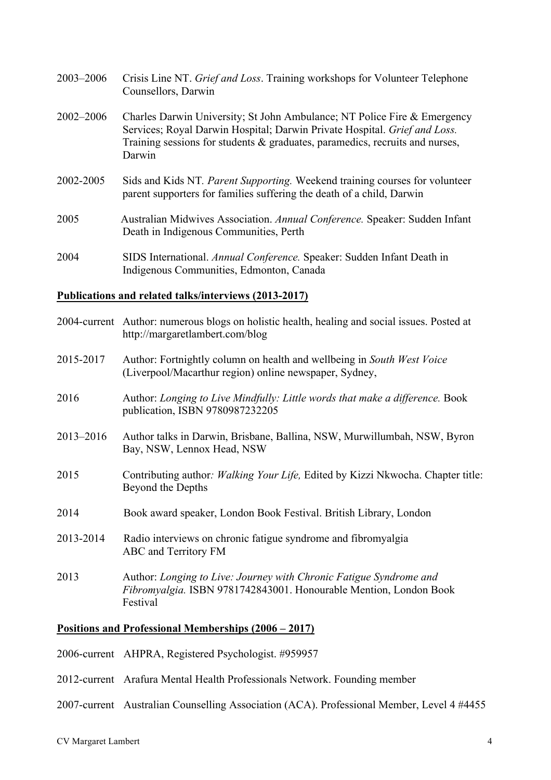| 2003-2006     | Crisis Line NT. Grief and Loss. Training workshops for Volunteer Telephone<br>Counsellors, Darwin                                                                                                                                                  |
|---------------|----------------------------------------------------------------------------------------------------------------------------------------------------------------------------------------------------------------------------------------------------|
| $2002 - 2006$ | Charles Darwin University; St John Ambulance; NT Police Fire & Emergency<br>Services; Royal Darwin Hospital; Darwin Private Hospital. Grief and Loss.<br>Training sessions for students $\&$ graduates, paramedics, recruits and nurses,<br>Darwin |
| 2002-2005     | Sids and Kids NT. Parent Supporting. Weekend training courses for volunteer<br>parent supporters for families suffering the death of a child, Darwin                                                                                               |
| 2005          | Australian Midwives Association. Annual Conference. Speaker: Sudden Infant<br>Death in Indigenous Communities, Perth                                                                                                                               |
| 2004          | SIDS International. Annual Conference. Speaker: Sudden Infant Death in<br>Indigenous Communities, Edmonton, Canada                                                                                                                                 |

## **Publications and related talks/interviews (2013-2017)**

|           | 2004-current Author: numerous blogs on holistic health, healing and social issues. Posted at<br>http://margaretlambert.com/blog                     |  |  |  |
|-----------|-----------------------------------------------------------------------------------------------------------------------------------------------------|--|--|--|
| 2015-2017 | Author: Fortnightly column on health and wellbeing in South West Voice<br>(Liverpool/Macarthur region) online newspaper, Sydney,                    |  |  |  |
| 2016      | Author: Longing to Live Mindfully: Little words that make a difference. Book<br>publication, ISBN 9780987232205                                     |  |  |  |
| 2013-2016 | Author talks in Darwin, Brisbane, Ballina, NSW, Murwillumbah, NSW, Byron<br>Bay, NSW, Lennox Head, NSW                                              |  |  |  |
| 2015      | Contributing author: Walking Your Life, Edited by Kizzi Nkwocha. Chapter title:<br>Beyond the Depths                                                |  |  |  |
| 2014      | Book award speaker, London Book Festival. British Library, London                                                                                   |  |  |  |
| 2013-2014 | Radio interviews on chronic fatigue syndrome and fibromyalgia<br>ABC and Territory FM                                                               |  |  |  |
| 2013      | Author: Longing to Live: Journey with Chronic Fatigue Syndrome and<br>Fibromyalgia. ISBN 9781742843001. Honourable Mention, London Book<br>Festival |  |  |  |

# **Positions and Professional Memberships (2006 – 2017)**

|  |  |  | 2006-current AHPRA, Registered Psychologist. #959957 |  |
|--|--|--|------------------------------------------------------|--|
|--|--|--|------------------------------------------------------|--|

- 2012-current Arafura Mental Health Professionals Network. Founding member
- 2007-current Australian Counselling Association (ACA). Professional Member, Level 4 #4455